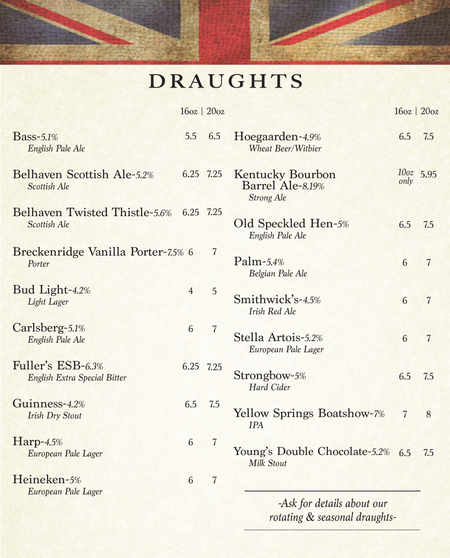## D RAUGHTS

|                                                      |                | $16oz$   $20oz$ |                                                                  |                | 16oz   20oz    |
|------------------------------------------------------|----------------|-----------------|------------------------------------------------------------------|----------------|----------------|
| <b>Bass-5.1%</b><br>English Pale Ale                 | 5.5            | 6.5             | Hoegaarden-4.9%<br>Wheat Beer/Withier                            | 6.5            | 7.5            |
| Belhaven Scottish Ale-5.2%<br>Scottish Ale           |                | 6.25 7.25       | <b>Kentucky Bourbon</b><br>Barrel Ale-8.19%<br><b>Strong Ale</b> | only           | $100z$ 5.95    |
| <b>Belhaven Twisted Thistle-5.6%</b><br>Scottish Ale |                | 6.25 7.25       | Old Speckled Hen-5%<br>English Pale Ale                          | 6.5            | 7.5            |
| Breckenridge Vanilla Porter-7.5% 6<br>Porter         |                | $\overline{7}$  | $Palm-5.4%$<br>Belgian Pale Ale                                  | 6              | $\overline{7}$ |
| Bud Light-4.2%<br>Light Lager                        | $\overline{4}$ | 5               | Smithwick's-4.5%<br><b>Irish Red Ale</b>                         | 6              | $\overline{7}$ |
| Carlsberg-5.1%<br>English Pale Ale                   | 6              | $\overline{7}$  | Stella Artois-5.2%<br>European Pale Lager                        | 6              | $\overline{7}$ |
| Fuller's ESB-6.3%<br>English Extra Special Bitter    |                | 6.25 7.25       | Strongbow-5%<br>Hard Cider                                       | 6.5            | 7.5            |
| Guinness-4.2%<br><b>Irish Dry Stout</b>              | 6.5            | 7.5             | Yellow Springs Boatshow-7%<br><b>IPA</b>                         | $\overline{7}$ | 8              |
| $Harp-4.5%$<br>European Pale Lager                   | 6              | $\overline{7}$  | Young's Double Chocolate-5.2%<br>Milk Stout                      | 6.5            | 7.5            |
| Heineken-5%<br>European Pale Lager                   | 6              | $\overline{7}$  | -Ask for details about our<br>rotating & seasonal draughts-      |                |                |